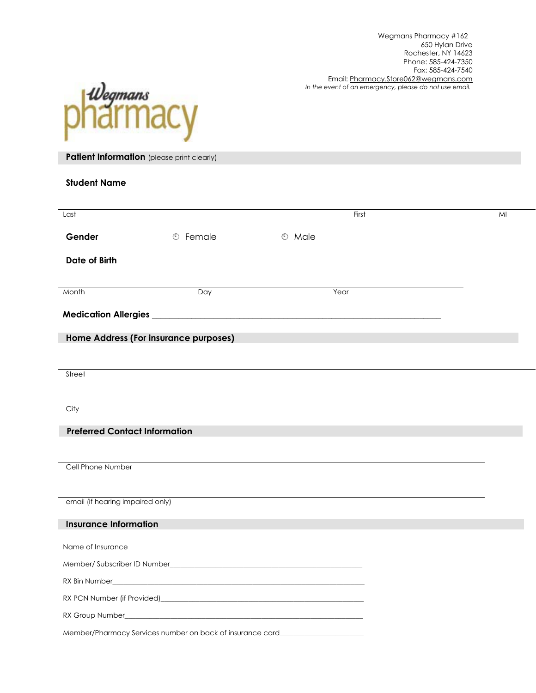

**Patient Information** (please print clearly)

| Last                                                       |                            | First                | MI |
|------------------------------------------------------------|----------------------------|----------------------|----|
| Gender                                                     | <b><sup>①</sup></b> Female | <b><i>®</i></b> Male |    |
| <b>Date of Birth</b>                                       |                            |                      |    |
|                                                            |                            |                      |    |
| Month                                                      | Day                        | Year                 |    |
|                                                            |                            |                      |    |
| Home Address (For insurance purposes)                      |                            |                      |    |
|                                                            |                            |                      |    |
| Street                                                     |                            |                      |    |
|                                                            |                            |                      |    |
| City                                                       |                            |                      |    |
| <b>Preferred Contact Information</b>                       |                            |                      |    |
|                                                            |                            |                      |    |
| Cell Phone Number                                          |                            |                      |    |
|                                                            |                            |                      |    |
| email (if hearing impaired only)                           |                            |                      |    |
| <b>Insurance Information</b>                               |                            |                      |    |
|                                                            |                            |                      |    |
|                                                            |                            |                      |    |
|                                                            |                            |                      |    |
|                                                            |                            |                      |    |
| Member/Pharmacy Services number on back of insurance card_ |                            |                      |    |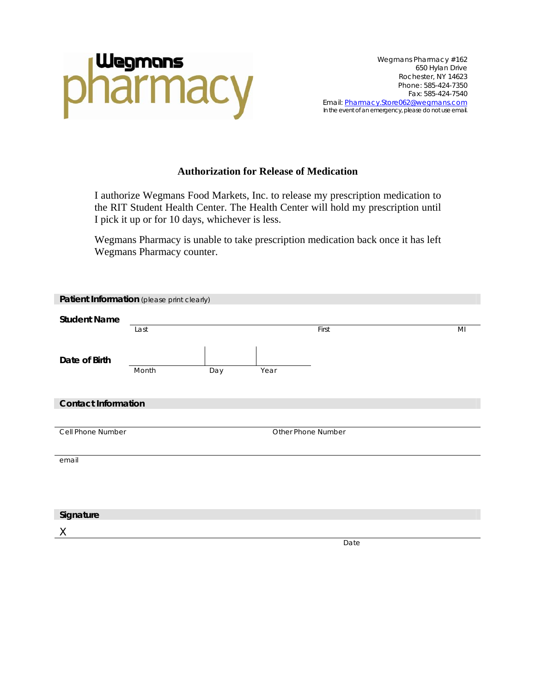

#### **Authorization for Release of Medication**

I authorize Wegmans Food Markets, Inc. to release my prescription medication to the RIT Student Health Center. The Health Center will hold my prescription until I pick it up or for 10 days, whichever is less.

Wegmans Pharmacy is unable to take prescription medication back once it has left Wegmans Pharmacy counter.

| Patient Information (please print clearly) |       |     |      |                    |    |
|--------------------------------------------|-------|-----|------|--------------------|----|
| <b>Student Name</b>                        |       |     |      |                    |    |
|                                            | Last  |     |      | First              | MI |
|                                            |       |     |      |                    |    |
| Date of Birth                              |       |     |      |                    |    |
|                                            | Month | Day | Year |                    |    |
|                                            |       |     |      |                    |    |
| <b>Contact Information</b>                 |       |     |      |                    |    |
|                                            |       |     |      |                    |    |
| Cell Phone Number                          |       |     |      | Other Phone Number |    |
|                                            |       |     |      |                    |    |
| email                                      |       |     |      |                    |    |
|                                            |       |     |      |                    |    |
|                                            |       |     |      |                    |    |
| Signature                                  |       |     |      |                    |    |
|                                            |       |     |      |                    |    |
| $\chi$                                     |       |     |      | Date               |    |
|                                            |       |     |      |                    |    |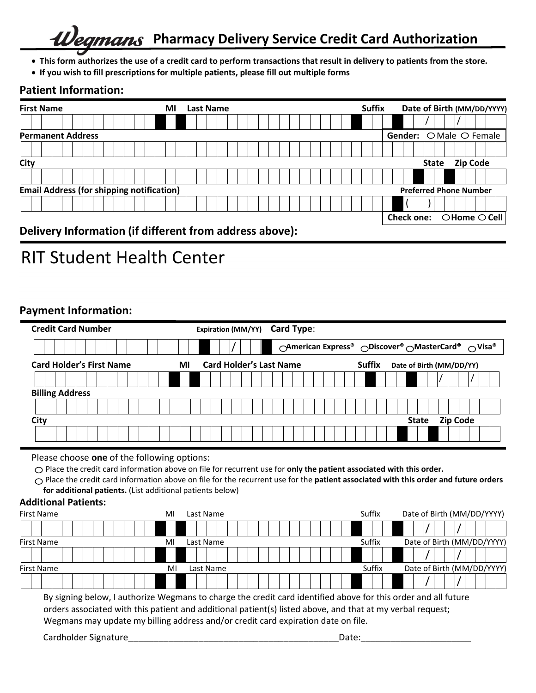## **Pharmacy Delivery Service Credit Card Authorization** mans

- **This form authorizes the use of a credit card to perform transactions that result in delivery to patients from the store.**
- **If you wish to fill prescriptions for multiple patients, please fill out multiple forms**

## **Patient Information:**

| <b>First Name</b>                                       | мı | <b>Last Name</b> | <b>Suffix</b> | Date of Birth (MM/DD/YYYY)                 |
|---------------------------------------------------------|----|------------------|---------------|--------------------------------------------|
|                                                         |    |                  |               |                                            |
| <b>Permanent Address</b>                                |    |                  |               | Gender: O Male O Female                    |
|                                                         |    |                  |               |                                            |
| City                                                    |    |                  |               | <b>Zip Code</b><br><b>State</b>            |
|                                                         |    |                  |               |                                            |
| <b>Email Address (for shipping notification)</b>        |    |                  |               | <b>Preferred Phone Number</b>              |
|                                                         |    |                  |               |                                            |
|                                                         |    |                  |               | Check one: $\bigcirc$ Home $\bigcirc$ Cell |
| Delivery Information (if different from address above). |    |                  |               |                                            |

**Delivery Information (if different from address above):** 

# **RIT Student Health Center**

## **Payment Information:**

| <b>Credit Card Number</b>             | Card Type:<br><b>Expiration (MM/YY)</b> |                                                                                                      |
|---------------------------------------|-----------------------------------------|------------------------------------------------------------------------------------------------------|
|                                       |                                         | <b>OAmerican Express<sup>®</sup> ODiscover<sup>®</sup> OMasterCard<sup>®</sup> OVisa<sup>®</sup></b> |
| <b>Card Holder's First Name</b><br>MI | <b>Card Holder's Last Name</b>          | <b>Suffix</b><br>Date of Birth (MM/DD/YY)                                                            |
|                                       |                                         |                                                                                                      |
| <b>Billing Address</b>                |                                         |                                                                                                      |
|                                       |                                         |                                                                                                      |
| City                                  |                                         | <b>Zip Code</b><br><b>State</b>                                                                      |
|                                       |                                         |                                                                                                      |

Please choose **one** of the following options:

Place the credit card information above on file for recurrent use for **only the patient associated with this order.** 

 Place the credit card information above on file for the recurrent use for the **patient associated with this order and future orders for additional patients.** (List additional patients below)

### **Additional Patients:**

| First Name        | мі | Last Name | Suffix | Date of Birth (MM/DD/YYYY) |
|-------------------|----|-----------|--------|----------------------------|
|                   |    |           |        |                            |
| <b>First Name</b> | MI | Last Name | Suffix | Date of Birth (MM/DD/YYYY) |
|                   |    |           |        |                            |
| <b>First Name</b> | MI | Last Name | Suffix | Date of Birth (MM/DD/YYYY) |
|                   |    |           |        |                            |

By signing below, I authorize Wegmans to charge the credit card identified above for this order and all future orders associated with this patient and additional patient(s) listed above, and that at my verbal request; Wegmans may update my billing address and/or credit card expiration date on file.

Cardholder Signature\_\_\_\_\_\_\_\_\_\_\_\_\_\_\_\_\_\_\_\_\_\_\_\_\_\_\_\_\_\_\_\_\_\_\_\_\_\_\_\_\_\_Date:\_\_\_\_\_\_\_\_\_\_\_\_\_\_\_\_\_\_\_\_\_\_